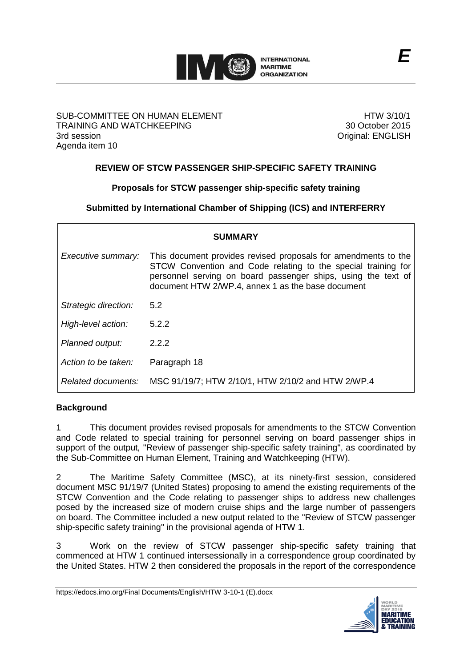

#### SUB-COMMITTEE ON HUMAN ELEMENT TRAINING AND WATCHKEEPING 3rd session Agenda item 10

HTW 3/10/1 30 October 2015 Original: ENGLISH

# **REVIEW OF STCW PASSENGER SHIP-SPECIFIC SAFETY TRAINING**

# **Proposals for STCW passenger ship-specific safety training**

**Submitted by International Chamber of Shipping (ICS) and INTERFERRY**

| <b>SUMMARY</b>       |                                                                                                                                                                                                                                                       |  |  |  |
|----------------------|-------------------------------------------------------------------------------------------------------------------------------------------------------------------------------------------------------------------------------------------------------|--|--|--|
| Executive summary:   | This document provides revised proposals for amendments to the<br>STCW Convention and Code relating to the special training for<br>personnel serving on board passenger ships, using the text of<br>document HTW 2/WP.4, annex 1 as the base document |  |  |  |
| Strategic direction: | 5.2                                                                                                                                                                                                                                                   |  |  |  |
| High-level action:   | 5.2.2                                                                                                                                                                                                                                                 |  |  |  |
| Planned output:      | 2.2.2                                                                                                                                                                                                                                                 |  |  |  |
| Action to be taken:  | Paragraph 18                                                                                                                                                                                                                                          |  |  |  |
| Related documents:   | MSC 91/19/7; HTW 2/10/1, HTW 2/10/2 and HTW 2/WP.4                                                                                                                                                                                                    |  |  |  |

### **Background**

1 This document provides revised proposals for amendments to the STCW Convention and Code related to special training for personnel serving on board passenger ships in support of the output*,* "Review of passenger ship-specific safety training", as coordinated by the Sub-Committee on Human Element, Training and Watchkeeping (HTW).

2 The Maritime Safety Committee (MSC), at its ninety-first session, considered document MSC 91/19/7 (United States) proposing to amend the existing requirements of the STCW Convention and the Code relating to passenger ships to address new challenges posed by the increased size of modern cruise ships and the large number of passengers on board. The Committee included a new output related to the "Review of STCW passenger ship-specific safety training" in the provisional agenda of HTW 1.

3 Work on the review of STCW passenger ship-specific safety training that commenced at HTW 1 continued intersessionally in a correspondence group coordinated by the United States. HTW 2 then considered the proposals in the report of the correspondence

https://edocs.imo.org/Final Documents/English/HTW 3-10-1 (E).docx

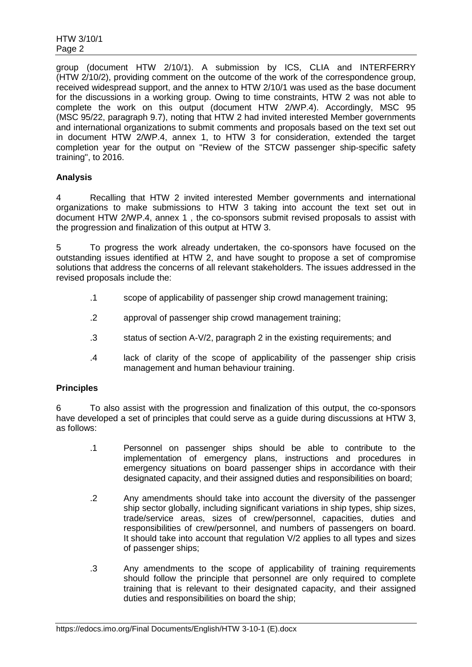group (document HTW 2/10/1). A submission by ICS, CLIA and INTERFERRY (HTW 2/10/2), providing comment on the outcome of the work of the correspondence group, received widespread support, and the annex to HTW 2/10/1 was used as the base document for the discussions in a working group. Owing to time constraints, HTW 2 was not able to complete the work on this output (document HTW 2/WP.4). Accordingly, MSC 95 (MSC 95/22, paragraph 9.7), noting that HTW 2 had invited interested Member governments and international organizations to submit comments and proposals based on the text set out in document HTW 2/WP.4, annex 1, to HTW 3 for consideration, extended the target completion year for the output on "Review of the STCW passenger ship-specific safety training", to 2016.

### **Analysis**

4 Recalling that HTW 2 invited interested Member governments and international organizations to make submissions to HTW 3 taking into account the text set out in document HTW 2/WP.4, annex 1 , the co-sponsors submit revised proposals to assist with the progression and finalization of this output at HTW 3.

5 To progress the work already undertaken, the co-sponsors have focused on the outstanding issues identified at HTW 2, and have sought to propose a set of compromise solutions that address the concerns of all relevant stakeholders. The issues addressed in the revised proposals include the:

- .1 scope of applicability of passenger ship crowd management training;
- .2 approval of passenger ship crowd management training;
- .3 status of section A-V/2, paragraph 2 in the existing requirements; and
- .4 lack of clarity of the scope of applicability of the passenger ship crisis management and human behaviour training.

### **Principles**

6 To also assist with the progression and finalization of this output, the co-sponsors have developed a set of principles that could serve as a guide during discussions at HTW 3, as follows:

- .1 Personnel on passenger ships should be able to contribute to the implementation of emergency plans, instructions and procedures in emergency situations on board passenger ships in accordance with their designated capacity, and their assigned duties and responsibilities on board;
- .2 Any amendments should take into account the diversity of the passenger ship sector globally, including significant variations in ship types, ship sizes, trade/service areas, sizes of crew/personnel, capacities, duties and responsibilities of crew/personnel, and numbers of passengers on board. It should take into account that regulation V/2 applies to all types and sizes of passenger ships;
- .3 Any amendments to the scope of applicability of training requirements should follow the principle that personnel are only required to complete training that is relevant to their designated capacity, and their assigned duties and responsibilities on board the ship;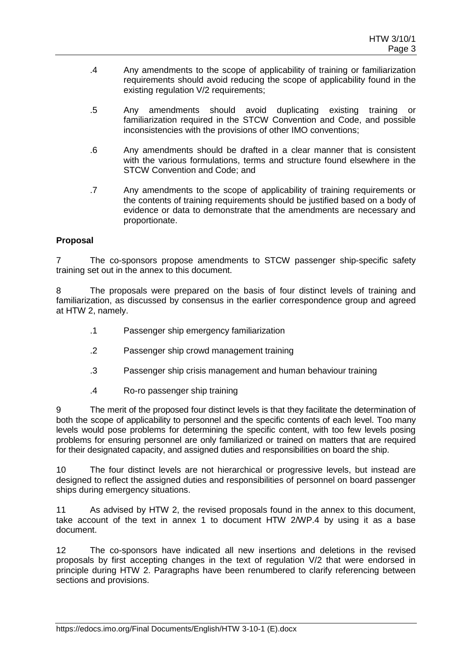- .4 Any amendments to the scope of applicability of training or familiarization requirements should avoid reducing the scope of applicability found in the existing regulation V/2 requirements;
- .5 Any amendments should avoid duplicating existing training or familiarization required in the STCW Convention and Code, and possible inconsistencies with the provisions of other IMO conventions;
- .6 Any amendments should be drafted in a clear manner that is consistent with the various formulations, terms and structure found elsewhere in the STCW Convention and Code; and
- .7 Any amendments to the scope of applicability of training requirements or the contents of training requirements should be justified based on a body of evidence or data to demonstrate that the amendments are necessary and proportionate.

### **Proposal**

7 The co-sponsors propose amendments to STCW passenger ship-specific safety training set out in the annex to this document.

8 The proposals were prepared on the basis of four distinct levels of training and familiarization, as discussed by consensus in the earlier correspondence group and agreed at HTW 2, namely.

- .1 Passenger ship emergency familiarization
- .2 Passenger ship crowd management training
- .3 Passenger ship crisis management and human behaviour training
- .4 Ro-ro passenger ship training

9 The merit of the proposed four distinct levels is that they facilitate the determination of both the scope of applicability to personnel and the specific contents of each level. Too many levels would pose problems for determining the specific content, with too few levels posing problems for ensuring personnel are only familiarized or trained on matters that are required for their designated capacity, and assigned duties and responsibilities on board the ship.

10 The four distinct levels are not hierarchical or progressive levels, but instead are designed to reflect the assigned duties and responsibilities of personnel on board passenger ships during emergency situations.

11 As advised by HTW 2, the revised proposals found in the annex to this document, take account of the text in annex 1 to document HTW 2/WP.4 by using it as a base document.

12 The co-sponsors have indicated all new insertions and deletions in the revised proposals by first accepting changes in the text of regulation V/2 that were endorsed in principle during HTW 2. Paragraphs have been renumbered to clarify referencing between sections and provisions.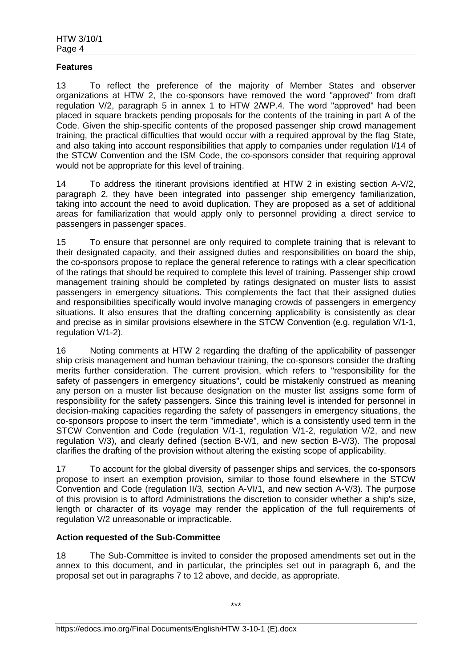#### **Features**

13 To reflect the preference of the majority of Member States and observer organizations at HTW 2, the co-sponsors have removed the word "approved" from draft regulation V/2, paragraph 5 in annex 1 to HTW 2/WP.4. The word "approved" had been placed in square brackets pending proposals for the contents of the training in part A of the Code. Given the ship-specific contents of the proposed passenger ship crowd management training, the practical difficulties that would occur with a required approval by the flag State, and also taking into account responsibilities that apply to companies under regulation I/14 of the STCW Convention and the ISM Code, the co-sponsors consider that requiring approval would not be appropriate for this level of training.

14 To address the itinerant provisions identified at HTW 2 in existing section A-V/2, paragraph 2, they have been integrated into passenger ship emergency familiarization, taking into account the need to avoid duplication. They are proposed as a set of additional areas for familiarization that would apply only to personnel providing a direct service to passengers in passenger spaces.

15 To ensure that personnel are only required to complete training that is relevant to their designated capacity, and their assigned duties and responsibilities on board the ship, the co-sponsors propose to replace the general reference to ratings with a clear specification of the ratings that should be required to complete this level of training. Passenger ship crowd management training should be completed by ratings designated on muster lists to assist passengers in emergency situations. This complements the fact that their assigned duties and responsibilities specifically would involve managing crowds of passengers in emergency situations. It also ensures that the drafting concerning applicability is consistently as clear and precise as in similar provisions elsewhere in the STCW Convention (e.g. regulation V/1-1, regulation V/1-2).

16 Noting comments at HTW 2 regarding the drafting of the applicability of passenger ship crisis management and human behaviour training, the co-sponsors consider the drafting merits further consideration. The current provision, which refers to "responsibility for the safety of passengers in emergency situations", could be mistakenly construed as meaning any person on a muster list because designation on the muster list assigns some form of responsibility for the safety passengers. Since this training level is intended for personnel in decision-making capacities regarding the safety of passengers in emergency situations, the co-sponsors propose to insert the term "immediate", which is a consistently used term in the STCW Convention and Code (regulation V/1-1, regulation V/1-2, regulation V/2, and new regulation V/3), and clearly defined (section B-V/1, and new section B-V/3). The proposal clarifies the drafting of the provision without altering the existing scope of applicability.

17 To account for the global diversity of passenger ships and services, the co-sponsors propose to insert an exemption provision, similar to those found elsewhere in the STCW Convention and Code (regulation II/3, section A-VI/1, and new section A-V/3). The purpose of this provision is to afford Administrations the discretion to consider whether a ship's size, length or character of its voyage may render the application of the full requirements of regulation V/2 unreasonable or impracticable.

### **Action requested of the Sub-Committee**

18 The Sub-Committee is invited to consider the proposed amendments set out in the annex to this document, and in particular, the principles set out in paragraph 6, and the proposal set out in paragraphs 7 to 12 above, and decide, as appropriate.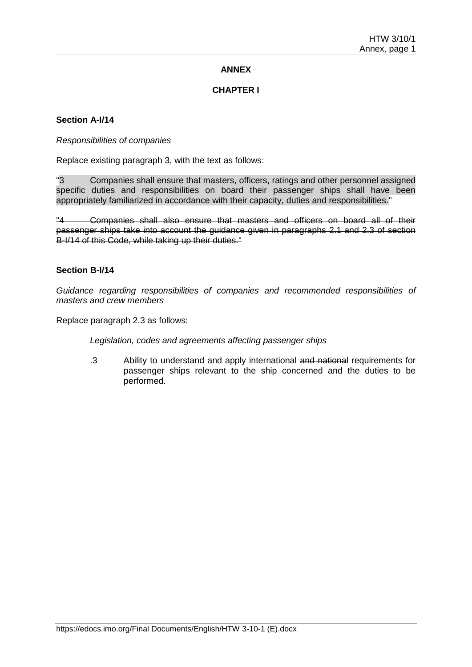# **ANNEX**

### **CHAPTER I**

### **Section A-I/14**

#### *Responsibilities of companies*

Replace existing paragraph 3, with the text as follows:

"3 Companies shall ensure that masters, officers, ratings and other personnel assigned specific duties and responsibilities on board their passenger ships shall have been appropriately familiarized in accordance with their capacity, duties and responsibilities."

"4 Companies shall also ensure that masters and officers on board all of their passenger ships take into account the guidance given in paragraphs 2.1 and 2.3 of section B-I/14 of this Code, while taking up their duties."

### **Section B-I/14**

*Guidance regarding responsibilities of companies and recommended responsibilities of masters and crew members*

Replace paragraph 2.3 as follows:

*Legislation, codes and agreements affecting passenger ships*

.3 Ability to understand and apply international and national requirements for passenger ships relevant to the ship concerned and the duties to be performed.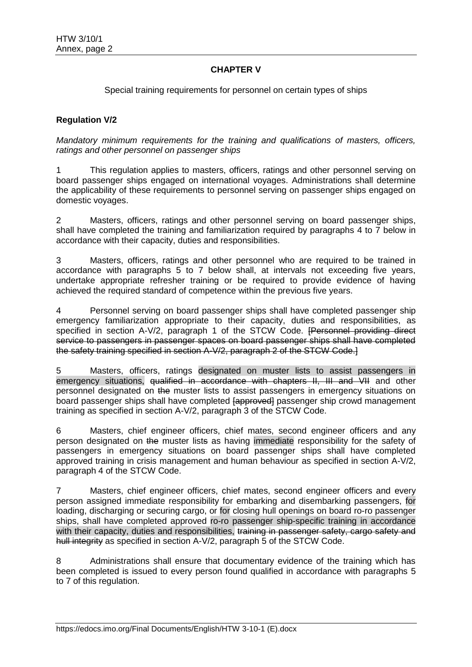# **CHAPTER V**

Special training requirements for personnel on certain types of ships

### **Regulation V/2**

*Mandatory minimum requirements for the training and qualifications of masters, officers, ratings and other personnel on passenger ships*

1 This regulation applies to masters, officers, ratings and other personnel serving on board passenger ships engaged on international voyages. Administrations shall determine the applicability of these requirements to personnel serving on passenger ships engaged on domestic voyages.

2 Masters, officers, ratings and other personnel serving on board passenger ships, shall have completed the training and familiarization required by paragraphs 4 to 7 below in accordance with their capacity, duties and responsibilities.

3 Masters, officers, ratings and other personnel who are required to be trained in accordance with paragraphs 5 to 7 below shall, at intervals not exceeding five years, undertake appropriate refresher training or be required to provide evidence of having achieved the required standard of competence within the previous five years.

4 Personnel serving on board passenger ships shall have completed passenger ship emergency familiarization appropriate to their capacity, duties and responsibilities, as specified in section A-V/2, paragraph 1 of the STCW Code. [Personnel providing direct service to passengers in passenger spaces on board passenger ships shall have completed the safety training specified in section A-V/2, paragraph 2 of the STCW Code.]

5 Masters, officers, ratings designated on muster lists to assist passengers in emergency situations, qualified in accordance with chapters II, III and VII and other personnel designated on the muster lists to assist passengers in emergency situations on board passenger ships shall have completed [approved] passenger ship crowd management training as specified in section A-V/2, paragraph 3 of the STCW Code.

6 Masters, chief engineer officers, chief mates, second engineer officers and any person designated on the muster lists as having immediate responsibility for the safety of passengers in emergency situations on board passenger ships shall have completed approved training in crisis management and human behaviour as specified in section A-V/2, paragraph 4 of the STCW Code.

7 Masters, chief engineer officers, chief mates, second engineer officers and every person assigned immediate responsibility for embarking and disembarking passengers, for loading, discharging or securing cargo, or for closing hull openings on board ro-ro passenger ships, shall have completed approved ro-ro passenger ship-specific training in accordance with their capacity, duties and responsibilities, training in passenger safety, cargo safety and hull integrity as specified in section A-V/2, paragraph 5 of the STCW Code.

8 Administrations shall ensure that documentary evidence of the training which has been completed is issued to every person found qualified in accordance with paragraphs 5 to 7 of this regulation.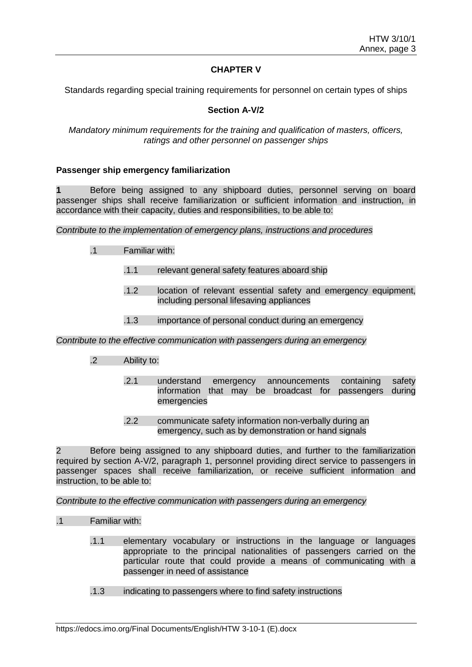# **CHAPTER V**

Standards regarding special training requirements for personnel on certain types of ships

# **Section A-V/2**

#### *Mandatory minimum requirements for the training and qualification of masters, officers, ratings and other personnel on passenger ships*

#### **Passenger ship emergency familiarization**

**1** Before being assigned to any shipboard duties, personnel serving on board passenger ships shall receive familiarization or sufficient information and instruction, in accordance with their capacity, duties and responsibilities, to be able to:

*Contribute to the implementation of emergency plans, instructions and procedures*

- .1 Familiar with:
	- .1.1 relevant general safety features aboard ship
	- .1.2 location of relevant essential safety and emergency equipment, including personal lifesaving appliances
	- .1.3 importance of personal conduct during an emergency

*Contribute to the effective communication with passengers during an emergency*

- .2 Ability to:
	- .2.1 understand emergency announcements containing safety information that may be broadcast for passengers during emergencies
	- .2.2 communicate safety information non-verbally during an emergency, such as by demonstration or hand signals

2 Before being assigned to any shipboard duties, and further to the familiarization required by section A-V/2, paragraph 1, personnel providing direct service to passengers in passenger spaces shall receive familiarization, or receive sufficient information and instruction, to be able to:

*Contribute to the effective communication with passengers during an emergency*

- .1 Familiar with:
	- .1.1 elementary vocabulary or instructions in the language or languages appropriate to the principal nationalities of passengers carried on the particular route that could provide a means of communicating with a passenger in need of assistance
	- .1.3 indicating to passengers where to find safety instructions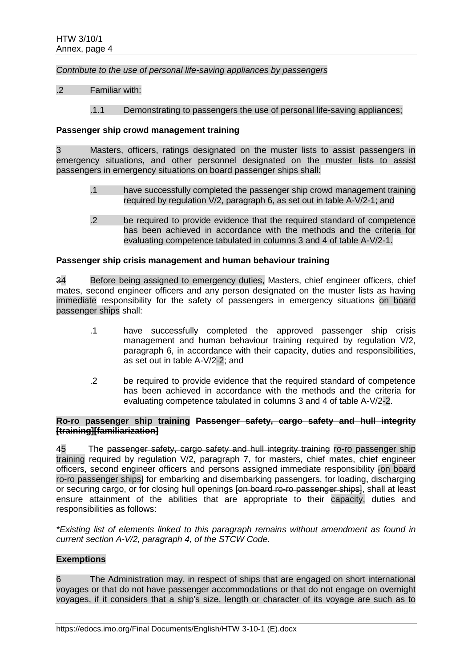*Contribute to the use of personal life-saving appliances by passengers*

.2 Familiar with:

#### .1.1 Demonstrating to passengers the use of personal life-saving appliances;

#### **Passenger ship crowd management training**

3 Masters, officers, ratings designated on the muster lists to assist passengers in emergency situations, and other personnel designated on the muster lists to assist passengers in emergency situations on board passenger ships shall:

- .1 have successfully completed the passenger ship crowd management training required by regulation V/2, paragraph 6, as set out in table A-V/2-1; and
- .2 be required to provide evidence that the required standard of competence has been achieved in accordance with the methods and the criteria for evaluating competence tabulated in columns 3 and 4 of table A-V/2-1.

#### **Passenger ship crisis management and human behaviour training**

34 Before being assigned to emergency duties, Masters, chief engineer officers, chief mates, second engineer officers and any person designated on the muster lists as having immediate responsibility for the safety of passengers in emergency situations on board passenger ships shall:

- .1 have successfully completed the approved passenger ship crisis management and human behaviour training required by regulation V/2, paragraph 6, in accordance with their capacity, duties and responsibilities, as set out in table A-V/2-2; and
- .2 be required to provide evidence that the required standard of competence has been achieved in accordance with the methods and the criteria for evaluating competence tabulated in columns 3 and 4 of table A-V/2-2.

#### **Ro-ro passenger ship training Passenger safety, cargo safety and hull integrity [training][familiarization]**

45 The passenger safety, cargo safety and hull integrity training ro-ro passenger ship training required by regulation V/2, paragraph 7, for masters, chief mates, chief engineer officers, second engineer officers and persons assigned immediate responsibility [on board ro-ro passenger ships<sup>1</sup> for embarking and disembarking passengers, for loading, discharging or securing cargo, or for closing hull openings [on board ro-ro passenger ships], shall at least ensure attainment of the abilities that are appropriate to their capacity, duties and responsibilities as follows:

*\*Existing list of elements linked to this paragraph remains without amendment as found in current section A-V/2, paragraph 4, of the STCW Code.*

# **Exemptions**

6 The Administration may, in respect of ships that are engaged on short international voyages or that do not have passenger accommodations or that do not engage on overnight voyages, if it considers that a ship's size, length or character of its voyage are such as to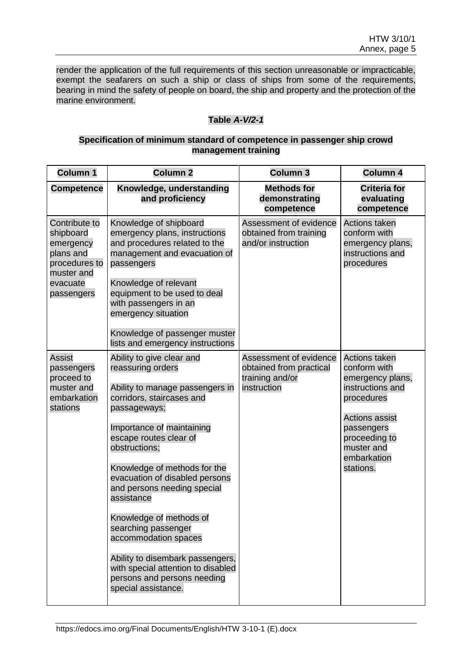render the application of the full requirements of this section unreasonable or impracticable, exempt the seafarers on such a ship or class of ships from some of the requirements, bearing in mind the safety of people on board, the ship and property and the protection of the marine environment.

# **Table** *A-V/2-1*

### **Specification of minimum standard of competence in passenger ship crowd management training**

| <b>Column 1</b>                                                                                               | <b>Column 2</b>                                                                                                                                                                                                                                                                                                                                                                                                                                                                                                                 | <b>Column 3</b>                                                                     | <b>Column 4</b>                                                                                                                                                                              |
|---------------------------------------------------------------------------------------------------------------|---------------------------------------------------------------------------------------------------------------------------------------------------------------------------------------------------------------------------------------------------------------------------------------------------------------------------------------------------------------------------------------------------------------------------------------------------------------------------------------------------------------------------------|-------------------------------------------------------------------------------------|----------------------------------------------------------------------------------------------------------------------------------------------------------------------------------------------|
| <b>Competence</b>                                                                                             | Knowledge, understanding<br>and proficiency                                                                                                                                                                                                                                                                                                                                                                                                                                                                                     | <b>Methods for</b><br>demonstrating<br>competence                                   | <b>Criteria for</b><br>evaluating<br>competence                                                                                                                                              |
| Contribute to<br>shipboard<br>emergency<br>plans and<br>procedures to<br>muster and<br>evacuate<br>passengers | Knowledge of shipboard<br>emergency plans, instructions<br>and procedures related to the<br>management and evacuation of<br>passengers<br>Knowledge of relevant<br>equipment to be used to deal<br>with passengers in an<br>emergency situation<br>Knowledge of passenger muster<br>lists and emergency instructions                                                                                                                                                                                                            | Assessment of evidence<br>obtained from training<br>and/or instruction              | <b>Actions taken</b><br>conform with<br>emergency plans,<br>instructions and<br>procedures                                                                                                   |
| <b>Assist</b><br>passengers<br>proceed to<br>muster and<br>embarkation<br>stations                            | Ability to give clear and<br>reassuring orders<br>Ability to manage passengers in<br>corridors, staircases and<br>passageways;<br>Importance of maintaining<br>escape routes clear of<br>obstructions;<br>Knowledge of methods for the<br>evacuation of disabled persons<br>and persons needing special<br>assistance<br>Knowledge of methods of<br>searching passenger<br>accommodation spaces<br>Ability to disembark passengers,<br>with special attention to disabled<br>persons and persons needing<br>special assistance. | Assessment of evidence<br>obtained from practical<br>training and/or<br>instruction | <b>Actions taken</b><br>conform with<br>emergency plans,<br>instructions and<br>procedures<br><b>Actions assist</b><br>passengers<br>proceeding to<br>muster and<br>embarkation<br>stations. |